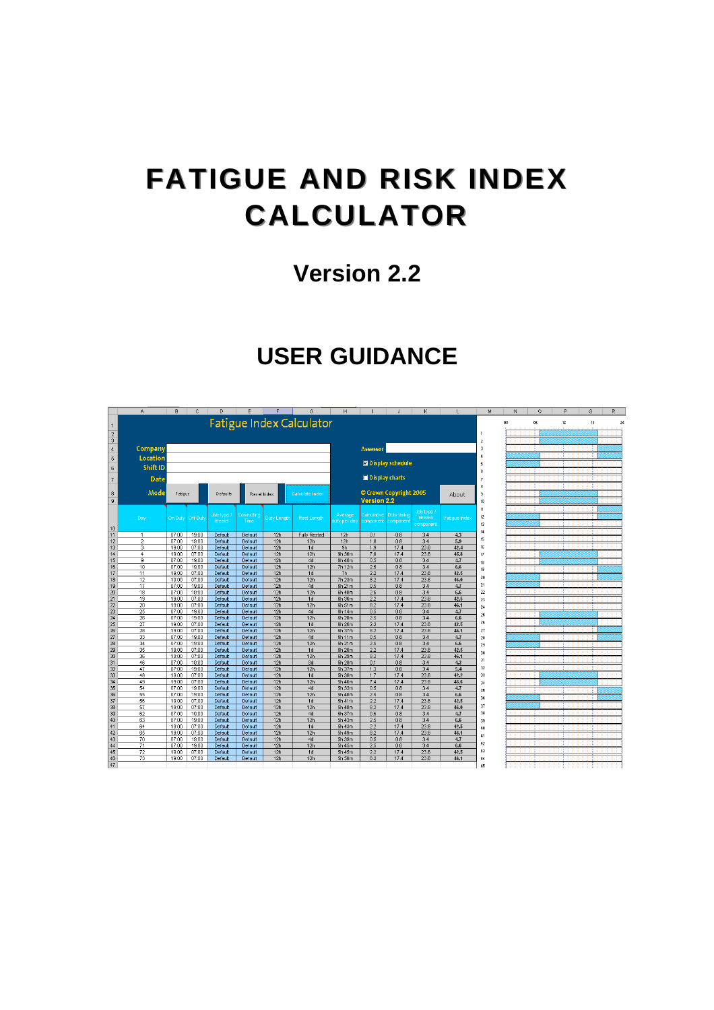# **FATIGUE AND RISK INDEX FATIGUE AND RISK INDEX CALCULATOR CALCULATOR**

# **Version 2.2**

# **USER GUIDANCE**

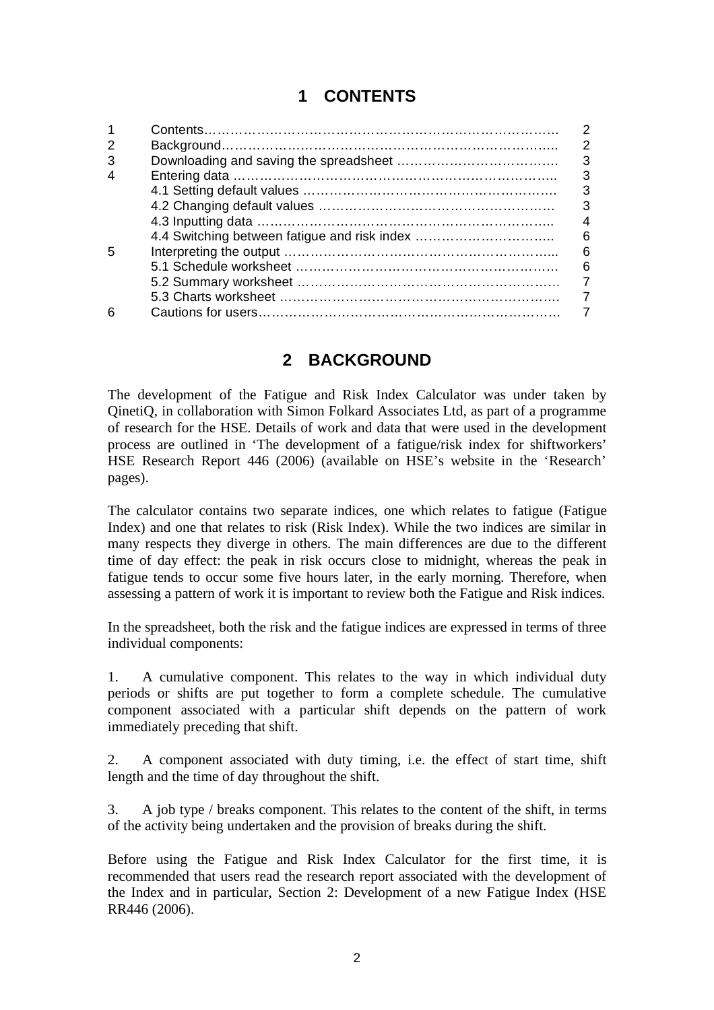# **1 CONTENTS**

|                                              | 2 |
|----------------------------------------------|---|
|                                              | 3 |
|                                              | 3 |
|                                              | 3 |
|                                              | 3 |
|                                              |   |
| 4.4 Switching between fatigue and risk index | 6 |
|                                              | 6 |
|                                              | 6 |
|                                              |   |
|                                              |   |
|                                              |   |
|                                              |   |

## **2 BACKGROUND**

The development of the Fatigue and Risk Index Calculator was under taken by QinetiQ, in collaboration with Simon Folkard Associates Ltd, as part of a programme of research for the HSE. Details of work and data that were used in the development process are outlined in 'The development of a fatigue/risk index for shiftworkers' HSE Research Report 446 (2006) (available on HSE's website in the 'Research' pages).

The calculator contains two separate indices, one which relates to fatigue (Fatigue Index) and one that relates to risk (Risk Index). While the two indices are similar in many respects they diverge in others. The main differences are due to the different time of day effect: the peak in risk occurs close to midnight, whereas the peak in fatigue tends to occur some five hours later, in the early morning. Therefore, when assessing a pattern of work it is important to review both the Fatigue and Risk indices.

In the spreadsheet, both the risk and the fatigue indices are expressed in terms of three individual components:

1. A cumulative component. This relates to the way in which individual duty periods or shifts are put together to form a complete schedule. The cumulative component associated with a particular shift depends on the pattern of work immediately preceding that shift.

2. A component associated with duty timing, i.e. the effect of start time, shift length and the time of day throughout the shift.

3. A job type / breaks component. This relates to the content of the shift, in terms of the activity being undertaken and the provision of breaks during the shift.

Before using the Fatigue and Risk Index Calculator for the first time, it is recommended that users read the research report associated with the development of the Index and in particular, Section 2: Development of a new Fatigue Index (HSE RR446 (2006).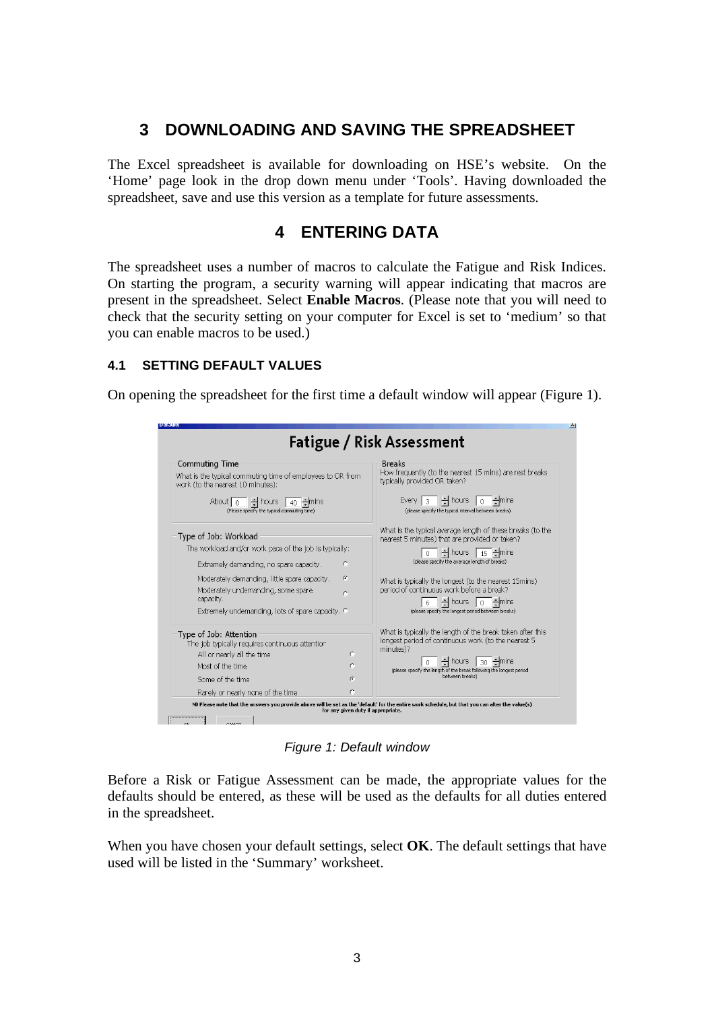### **3 DOWNLOADING AND SAVING THE SPREADSHEET**

The Excel spreadsheet is available for downloading on HSE's website. On the 'Home' page look in the drop down menu under 'Tools'. Having downloaded the spreadsheet, save and use this version as a template for future assessments.

### **4 ENTERING DATA**

The spreadsheet uses a number of macros to calculate the Fatigue and Risk Indices. On starting the program, a security warning will appear indicating that macros are present in the spreadsheet. Select **Enable Macros**. (Please note that you will need to check that the security setting on your computer for Excel is set to 'medium' so that you can enable macros to be used.)

#### **4.1 SETTING DEFAULT VALUES**

On opening the spreadsheet for the first time a default window will appear (Figure 1).

| Commuting Time                                                                                  |            | <b>Breaks</b>                                                                                                                                            |  |
|-------------------------------------------------------------------------------------------------|------------|----------------------------------------------------------------------------------------------------------------------------------------------------------|--|
| What is the typical commuting time of employees to OR from<br>work (to the nearest 10 minutes): |            | How frequently (to the nearest 15 mins) are rest breaks<br>typically provided OR taken?                                                                  |  |
| $\div$ hours<br>About   n<br>40<br>(Please specify the typical commuting time)                  |            | $\frac{1}{2}$ hours<br>Every $ $ 3<br>$-$ mins<br>$\theta$<br>(please specify the typical interval between breaks)                                       |  |
| Type of Job: Workload                                                                           |            | What is the typical average length of these breaks (to the<br>nearest 5 minutes) that are provided or taken?                                             |  |
| The workload and/or work pace of the job is typically:                                          |            | 쉬 hours   $\frac{15}{15}$ 쉬mins                                                                                                                          |  |
| Extremely demanding, no spare capacity.                                                         | C          | (please specify the average length of breaks)                                                                                                            |  |
| Moderately demanding, little spare capacity.<br>Moderately undemanding, some spare<br>capacity. | $\epsilon$ | What is typically the longest (to the nearest 15mins)<br>period of continuous work before a break?<br>$\frac{1}{2}$ hours $\boxed{0}$ $\frac{1}{2}$ mins |  |
| Extremely undemanding, lots of spare capacity. C                                                |            | (please specify the longest period between breaks)                                                                                                       |  |
| Type of Job: Attention<br>The job typically requires continuous attention                       |            | What is typically the length of the break taken after this<br>longest period of continuous work (to the nearest 5<br>minutes)?                           |  |
| All or nearly all the time                                                                      | $\subset$  | $\frac{1}{2}$ hours  <br>$30$ $\div$ mins                                                                                                                |  |
| Most of the time                                                                                | C          | (please specify the length of the break following the longest period                                                                                     |  |
| Some of the time                                                                                | G.         | between breaks)                                                                                                                                          |  |
| Rarely or nearly none of the time                                                               | C          |                                                                                                                                                          |  |

*Figure 1: Default window* 

Before a Risk or Fatigue Assessment can be made, the appropriate values for the defaults should be entered, as these will be used as the defaults for all duties entered in the spreadsheet.

When you have chosen your default settings, select **OK**. The default settings that have used will be listed in the 'Summary' worksheet.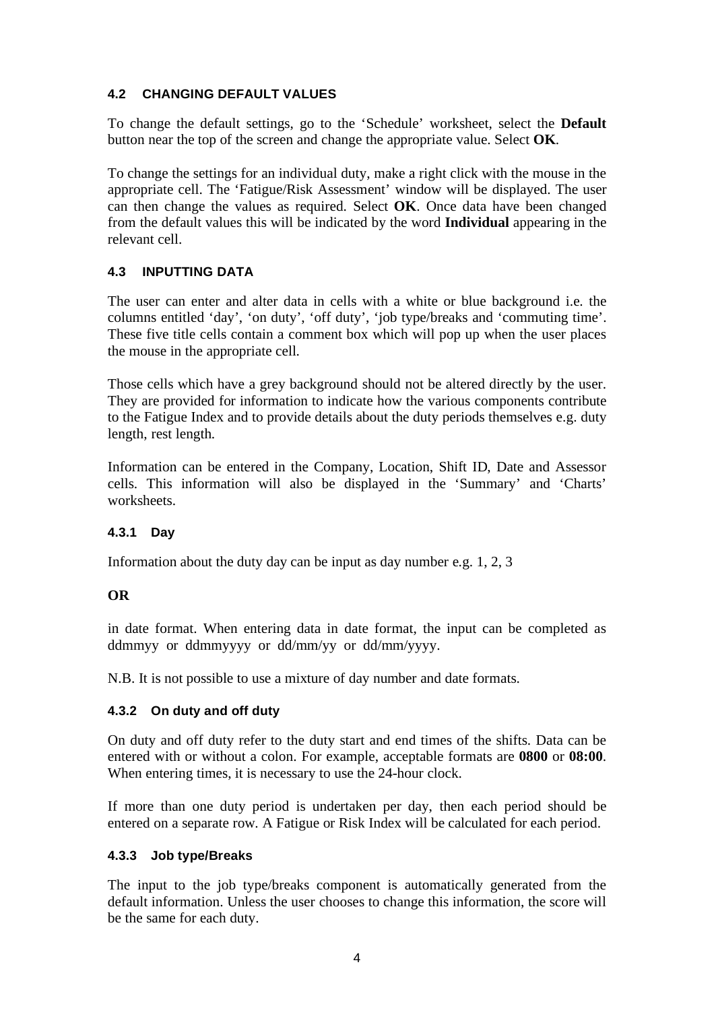#### **4.2 CHANGING DEFAULT VALUES**

To change the default settings, go to the 'Schedule' worksheet, select the **Default**  button near the top of the screen and change the appropriate value. Select **OK**.

To change the settings for an individual duty, make a right click with the mouse in the appropriate cell. The 'Fatigue/Risk Assessment' window will be displayed. The user can then change the values as required. Select **OK**. Once data have been changed from the default values this will be indicated by the word **Individual** appearing in the relevant cell.

#### **4.3 INPUTTING DATA**

The user can enter and alter data in cells with a white or blue background i.e. the columns entitled 'day', 'on duty', 'off duty', 'job type/breaks and 'commuting time'. These five title cells contain a comment box which will pop up when the user places the mouse in the appropriate cell.

Those cells which have a grey background should not be altered directly by the user. They are provided for information to indicate how the various components contribute to the Fatigue Index and to provide details about the duty periods themselves e.g. duty length, rest length.

Information can be entered in the Company, Location, Shift ID, Date and Assessor cells. This information will also be displayed in the 'Summary' and 'Charts' worksheets.

#### **4.3.1 Day**

Information about the duty day can be input as day number e.g. 1, 2, 3

#### **OR**

in date format. When entering data in date format, the input can be completed as ddmmyy or ddmmyyyy or dd/mm/yy or dd/mm/yyyy.

N.B. It is not possible to use a mixture of day number and date formats.

#### **4.3.2 On duty and off duty**

On duty and off duty refer to the duty start and end times of the shifts. Data can be entered with or without a colon. For example, acceptable formats are **0800** or **08:00**. When entering times, it is necessary to use the 24-hour clock.

If more than one duty period is undertaken per day, then each period should be entered on a separate row. A Fatigue or Risk Index will be calculated for each period.

#### **4.3.3 Job type/Breaks**

The input to the job type/breaks component is automatically generated from the default information. Unless the user chooses to change this information, the score will be the same for each duty.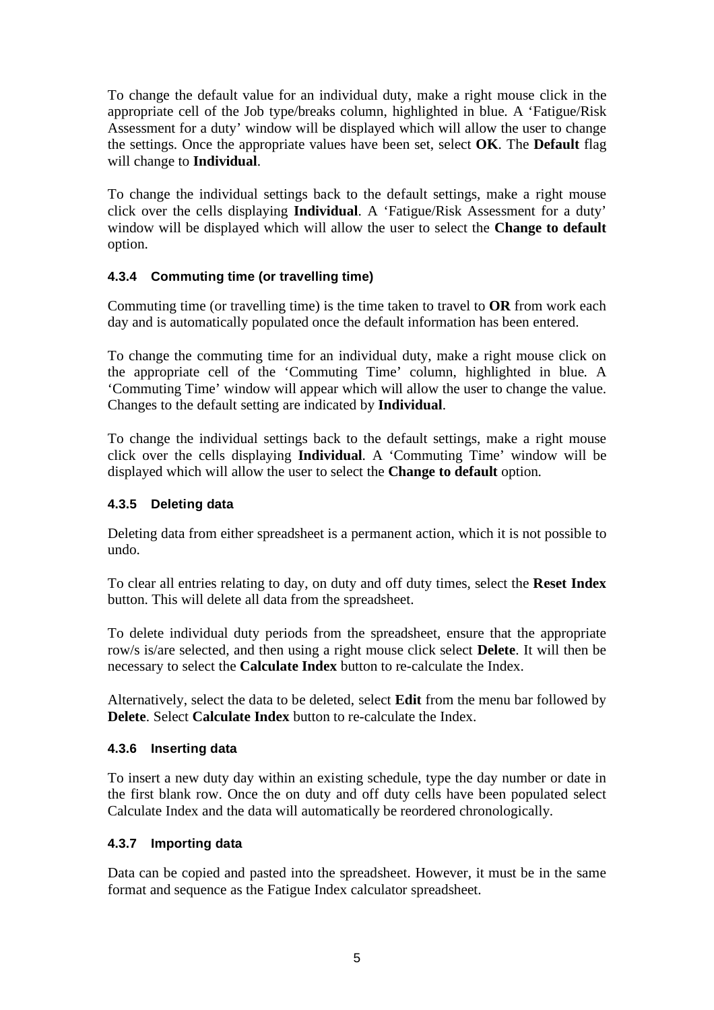To change the default value for an individual duty, make a right mouse click in the appropriate cell of the Job type/breaks column, highlighted in blue. A 'Fatigue/Risk Assessment for a duty' window will be displayed which will allow the user to change the settings. Once the appropriate values have been set, select **OK**. The **Default** flag will change to **Individual**.

To change the individual settings back to the default settings, make a right mouse click over the cells displaying **Individual**. A 'Fatigue/Risk Assessment for a duty' window will be displayed which will allow the user to select the **Change to default**  option.

#### **4.3.4 Commuting time (or travelling time)**

Commuting time (or travelling time) is the time taken to travel to **OR** from work each day and is automatically populated once the default information has been entered.

To change the commuting time for an individual duty, make a right mouse click on the appropriate cell of the 'Commuting Time' column, highlighted in blue. A 'Commuting Time' window will appear which will allow the user to change the value. Changes to the default setting are indicated by **Individual**.

To change the individual settings back to the default settings, make a right mouse click over the cells displaying **Individual**. A 'Commuting Time' window will be displayed which will allow the user to select the **Change to default** option.

#### **4.3.5 Deleting data**

Deleting data from either spreadsheet is a permanent action, which it is not possible to undo.

To clear all entries relating to day, on duty and off duty times, select the **Reset Index**  button. This will delete all data from the spreadsheet.

To delete individual duty periods from the spreadsheet, ensure that the appropriate row/s is/are selected, and then using a right mouse click select **Delete**. It will then be necessary to select the **Calculate Index** button to re-calculate the Index.

Alternatively, select the data to be deleted, select **Edit** from the menu bar followed by **Delete**. Select **Calculate Index** button to re-calculate the Index.

#### **4.3.6 Inserting data**

To insert a new duty day within an existing schedule, type the day number or date in the first blank row. Once the on duty and off duty cells have been populated select Calculate Index and the data will automatically be reordered chronologically.

#### **4.3.7 Importing data**

Data can be copied and pasted into the spreadsheet. However, it must be in the same format and sequence as the Fatigue Index calculator spreadsheet.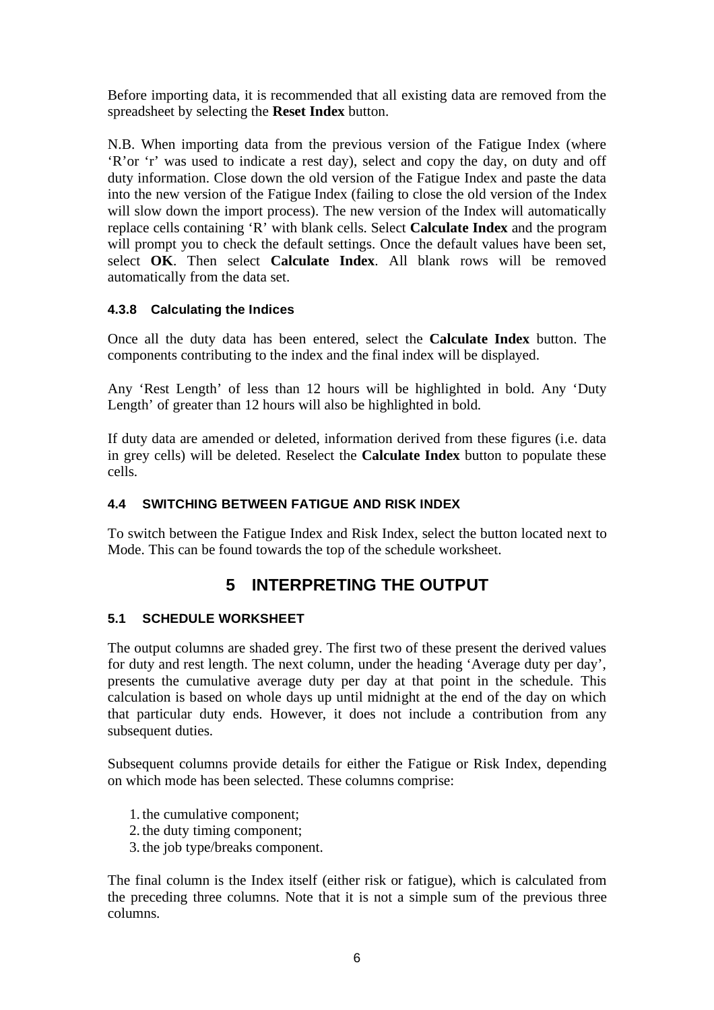Before importing data, it is recommended that all existing data are removed from the spreadsheet by selecting the **Reset Index** button.

N.B. When importing data from the previous version of the Fatigue Index (where 'R'or 'r' was used to indicate a rest day), select and copy the day, on duty and off duty information. Close down the old version of the Fatigue Index and paste the data into the new version of the Fatigue Index (failing to close the old version of the Index will slow down the import process). The new version of the Index will automatically replace cells containing 'R' with blank cells. Select **Calculate Index** and the program will prompt you to check the default settings. Once the default values have been set, select **OK**. Then select **Calculate Index**. All blank rows will be removed automatically from the data set.

#### **4.3.8 Calculating the Indices**

Once all the duty data has been entered, select the **Calculate Index** button. The components contributing to the index and the final index will be displayed.

Any 'Rest Length' of less than 12 hours will be highlighted in bold. Any 'Duty Length' of greater than 12 hours will also be highlighted in bold.

If duty data are amended or deleted, information derived from these figures (i.e. data in grey cells) will be deleted. Reselect the **Calculate Index** button to populate these cells.

#### **4.4 SWITCHING BETWEEN FATIGUE AND RISK INDEX**

To switch between the Fatigue Index and Risk Index, select the button located next to Mode. This can be found towards the top of the schedule worksheet.

# **5 INTERPRETING THE OUTPUT**

#### **5.1 SCHEDULE WORKSHEET**

The output columns are shaded grey. The first two of these present the derived values for duty and rest length. The next column, under the heading 'Average duty per day', presents the cumulative average duty per day at that point in the schedule. This calculation is based on whole days up until midnight at the end of the day on which that particular duty ends. However, it does not include a contribution from any subsequent duties.

Subsequent columns provide details for either the Fatigue or Risk Index, depending on which mode has been selected. These columns comprise:

1. the cumulative component;

- 2. the duty timing component;
- 3. the job type/breaks component.

The final column is the Index itself (either risk or fatigue), which is calculated from the preceding three columns. Note that it is not a simple sum of the previous three columns.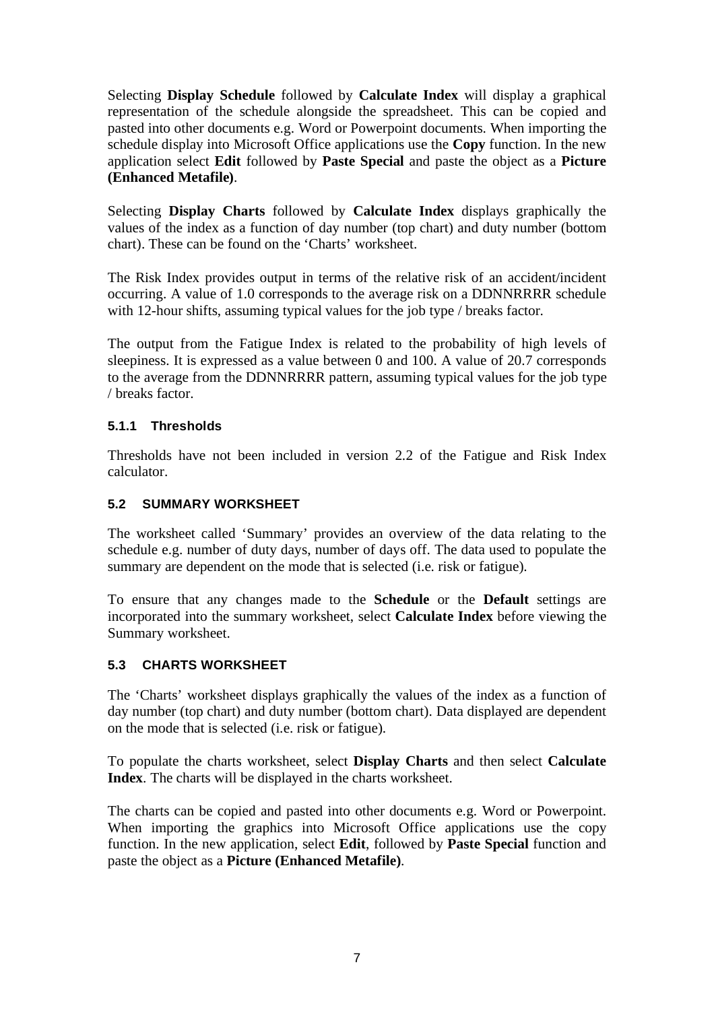Selecting **Display Schedule** followed by **Calculate Index** will display a graphical representation of the schedule alongside the spreadsheet. This can be copied and pasted into other documents e.g. Word or Powerpoint documents. When importing the schedule display into Microsoft Office applications use the **Copy** function. In the new application select **Edit** followed by **Paste Special** and paste the object as a **Picture (Enhanced Metafile)**.

Selecting **Display Charts** followed by **Calculate Index** displays graphically the values of the index as a function of day number (top chart) and duty number (bottom chart). These can be found on the 'Charts' worksheet.

The Risk Index provides output in terms of the relative risk of an accident/incident occurring. A value of 1.0 corresponds to the average risk on a DDNNRRRR schedule with 12-hour shifts, assuming typical values for the job type / breaks factor.

The output from the Fatigue Index is related to the probability of high levels of sleepiness. It is expressed as a value between 0 and 100. A value of 20.7 corresponds to the average from the DDNNRRRR pattern, assuming typical values for the job type / breaks factor.

#### **5.1.1 Thresholds**

Thresholds have not been included in version 2.2 of the Fatigue and Risk Index calculator.

#### **5.2 SUMMARY WORKSHEET**

The worksheet called 'Summary' provides an overview of the data relating to the schedule e.g. number of duty days, number of days off. The data used to populate the summary are dependent on the mode that is selected (i.e. risk or fatigue).

To ensure that any changes made to the **Schedule** or the **Default** settings are incorporated into the summary worksheet, select **Calculate Index** before viewing the Summary worksheet.

#### **5.3 CHARTS WORKSHEET**

The 'Charts' worksheet displays graphically the values of the index as a function of day number (top chart) and duty number (bottom chart). Data displayed are dependent on the mode that is selected (i.e. risk or fatigue).

To populate the charts worksheet, select **Display Charts** and then select **Calculate Index**. The charts will be displayed in the charts worksheet.

The charts can be copied and pasted into other documents e.g. Word or Powerpoint. When importing the graphics into Microsoft Office applications use the copy function. In the new application, select **Edit**, followed by **Paste Special** function and paste the object as a **Picture (Enhanced Metafile)**.